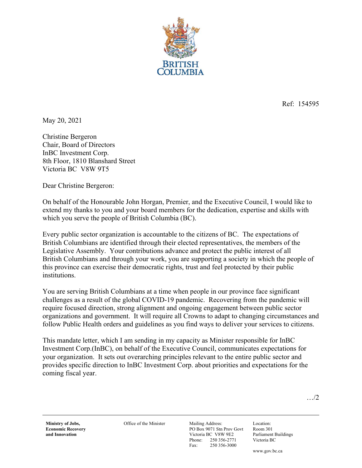

Ref: 154595

May 20, 2021

Christine Bergeron Chair, Board of Directors InBC Investment Corp. 8th Floor, 1810 Blanshard Street Victoria BC V8W 9T5

Dear Christine Bergeron:

On behalf of the Honourable John Horgan, Premier, and the Executive Council, I would like to extend my thanks to you and your board members for the dedication, expertise and skills with which you serve the people of British Columbia (BC).

Every public sector organization is accountable to the citizens of BC. The expectations of British Columbians are identified through their elected representatives, the members of the Legislative Assembly. Your contributions advance and protect the public interest of all British Columbians and through your work, you are supporting a society in which the people of this province can exercise their democratic rights, trust and feel protected by their public institutions.

You are serving British Columbians at a time when people in our province face significant challenges as a result of the global COVID-19 pandemic. Recovering from the pandemic will require focused direction, strong alignment and ongoing engagement between public sector organizations and government. It will require all Crowns to adapt to changing circumstances and follow Public Health orders and guidelines as you find ways to deliver your services to citizens.

This mandate letter, which I am sending in my capacity as Minister responsible for InBC Investment Corp.(InBC), on behalf of the Executive Council, communicates expectations for your organization. It sets out overarching principles relevant to the entire public sector and provides specific direction to InBC Investment Corp. about priorities and expectations for the coming fiscal year.

…/2

**Ministry of Jobs, Economic Recovery and Innovation** 

Office of the Minister Mailing Address:

PO Box 9071 Stn Prov Govt Victoria BC V8W 9E2 Phone: 250 356-2771 Fax: 250 356-3000

Location: Room 301 Parliament Buildings Victoria BC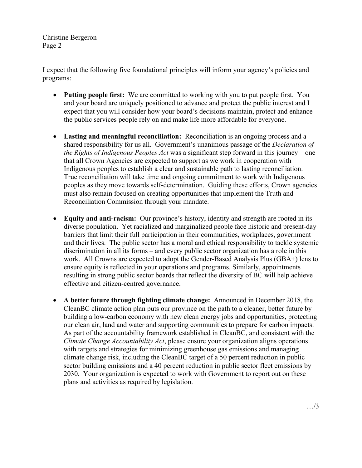I expect that the following five foundational principles will inform your agency's policies and programs:

- **Putting people first:** We are committed to working with you to put people first. You and your board are uniquely positioned to advance and protect the public interest and I expect that you will consider how your board's decisions maintain, protect and enhance the public services people rely on and make life more affordable for everyone.
- **Lasting and meaningful reconciliation:** Reconciliation is an ongoing process and a shared responsibility for us all. Government's unanimous passage of the *Declaration of the Rights of Indigenous Peoples Act* was a significant step forward in this journey – one that all Crown Agencies are expected to support as we work in cooperation with Indigenous peoples to establish a clear and sustainable path to lasting reconciliation. True reconciliation will take time and ongoing commitment to work with Indigenous peoples as they move towards self-determination. Guiding these efforts, Crown agencies must also remain focused on creating opportunities that implement the Truth and Reconciliation Commission through your mandate.
- **Equity and anti-racism:** Our province's history, identity and strength are rooted in its diverse population. Yet racialized and marginalized people face historic and present-day barriers that limit their full participation in their communities, workplaces, government and their lives. The public sector has a moral and ethical responsibility to tackle systemic discrimination in all its forms – and every public sector organization has a role in this work. All Crowns are expected to adopt the Gender-Based Analysis Plus (GBA+) lens to ensure equity is reflected in your operations and programs. Similarly, appointments resulting in strong public sector boards that reflect the diversity of BC will help achieve effective and citizen-centred governance.
- **A better future through fighting climate change:** Announced in December 2018, the CleanBC climate action plan puts our province on the path to a cleaner, better future by building a low-carbon economy with new clean energy jobs and opportunities, protecting our clean air, land and water and supporting communities to prepare for carbon impacts. As part of the accountability framework established in CleanBC, and consistent with the *Climate Change Accountability Act*, please ensure your organization aligns operations with targets and strategies for minimizing greenhouse gas emissions and managing climate change risk, including the CleanBC target of a 50 percent reduction in public sector building emissions and a 40 percent reduction in public sector fleet emissions by 2030. Your organization is expected to work with Government to report out on these plans and activities as required by legislation.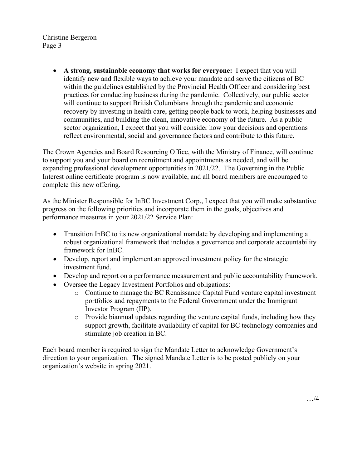> **A strong, sustainable economy that works for everyone:** I expect that you will identify new and flexible ways to achieve your mandate and serve the citizens of BC within the guidelines established by the Provincial Health Officer and considering best practices for conducting business during the pandemic. Collectively, our public sector will continue to support British Columbians through the pandemic and economic recovery by investing in health care, getting people back to work, helping businesses and communities, and building the clean, innovative economy of the future. As a public sector organization, I expect that you will consider how your decisions and operations reflect environmental, social and governance factors and contribute to this future.

The Crown Agencies and Board Resourcing Office, with the Ministry of Finance, will continue to support you and your board on recruitment and appointments as needed, and will be expanding professional development opportunities in 2021/22. The Governing in the Public Interest online certificate program is now available, and all board members are encouraged to complete this new offering.

As the Minister Responsible for InBC Investment Corp., I expect that you will make substantive progress on the following priorities and incorporate them in the goals, objectives and performance measures in your 2021/22 Service Plan:

- Transition InBC to its new organizational mandate by developing and implementing a robust organizational framework that includes a governance and corporate accountability framework for InBC.
- Develop, report and implement an approved investment policy for the strategic investment fund.
- Develop and report on a performance measurement and public accountability framework.
- Oversee the Legacy Investment Portfolios and obligations:
	- o Continue to manage the BC Renaissance Capital Fund venture capital investment portfolios and repayments to the Federal Government under the Immigrant Investor Program (IIP).
	- $\circ$  Provide biannual updates regarding the venture capital funds, including how they support growth, facilitate availability of capital for BC technology companies and stimulate job creation in BC.

Each board member is required to sign the Mandate Letter to acknowledge Government's direction to your organization. The signed Mandate Letter is to be posted publicly on your organization's website in spring 2021.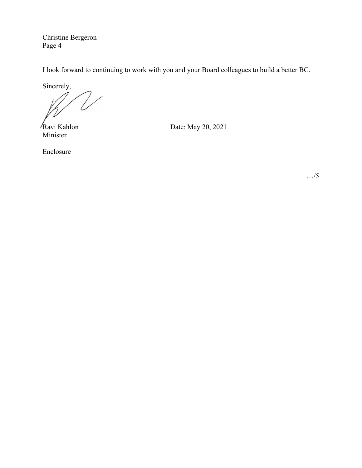I look forward to continuing to work with you and your Board colleagues to build a better BC.

Sincerely,

Minister

Ravi Kahlon Date: May 20, 2021

Enclosure

…/5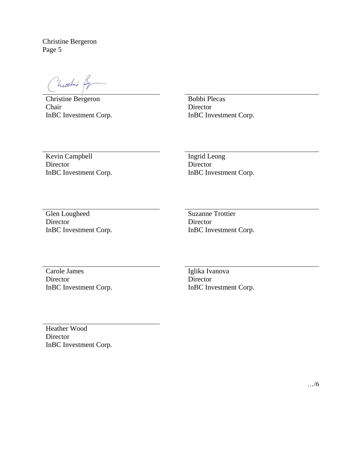hustni f

Christine Bergeron Chair InBC Investment Corp.

Bobbi Plecas Director InBC Investment Corp.

Kevin Campbell **Director** InBC Investment Corp. Ingrid Leong Director InBC Investment Corp.

Glen Lougheed Director InBC Investment Corp. Suzanne Trottier **Director** InBC Investment Corp.

Carole James **Director** InBC Investment Corp.

Iglika Ivanova **Director** InBC Investment Corp.

Heather Wood Director InBC Investment Corp.

…/6